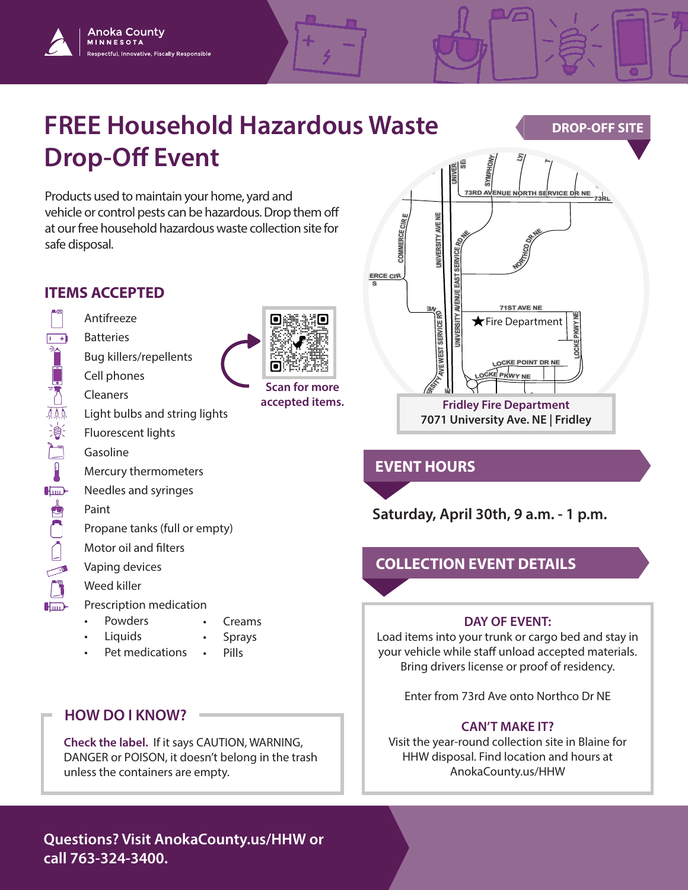## **EREE Household Hazardous Waste<br>
<b>Drop-Off Event Drop-Off Event COMMERCE LN NE**

**Scan for more accepted items.**

**<sup>R</sup>EE<sup>K</sup> BLVD NE**

Products used to maintain your home, yard and vehicle or control pests can be hazardous. Drop them off at our free household hazardous waste collection site for safe disposal. **COMMERCE CIR W**

## **ITEMS ACCEPTED**

Anoka County **MINNESOTA** 

ectful, Innovative, Fiscally Responsible

Antifreeze  $1 - 4$ **Batteries** 自己人無意 Bug killers/repellents Cell phones Cleaners Light bulbs and string lights Fluorescent lights  $\sum_{i=1}^{n}$ Gasoline  $\mathbf{R}$ Mercury thermometers  $H_{\text{imp}}$ Needles and syringes **PO** Paint Propane tanks (full or empty) Motor oil and filters Vaping devices  $\overline{\phantom{a}}$  $\Box$ Weed killer Prescription medication  $H_{\text{imp}}$ 

- Powders • Creams
- Liquids **Sprays**
- Pet medications • Pills

### **HOW DO I KNOW?**

**Check the label.** If it says CAUTION, WARNING, DANGER or POISON, it doesn't belong in the trash unless the containers are empty.

### **Questions? Visit AnokaCounty.us/HHW or call 763-324-3400.**



**74TH AVE NE**

**BLVD NE**

**7TH ST NE**

**RICE CREEK TER NE**

# $R$ **EVENT HOURS**

**Saturday, April 30th, 9 a.m. - 1 p.m.**

**R CI E CREEK BLVD NE**

### **COLLECTION EVENT DETAILS**

#### **DAY OF EVENT:**

Load items into your trunk or cargo bed and stay in your vehicle while staff unload accepted materials. Bring drivers license or proof of residency.

Enter from 73rd Ave onto Northco Dr NE

#### **CAN'T MAKE IT?**

Visit the year-round collection site in Blaine for HHW disposal. Find location and hours at AnokaCounty.us/HHW

## **BACK**<br>BALLET **BALLET**